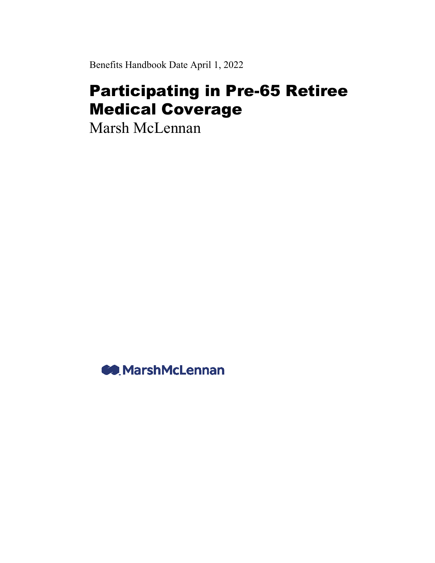Benefits Handbook Date April 1, 2022

# Participating in Pre-65 Retiree Medical Coverage

Marsh McLennan

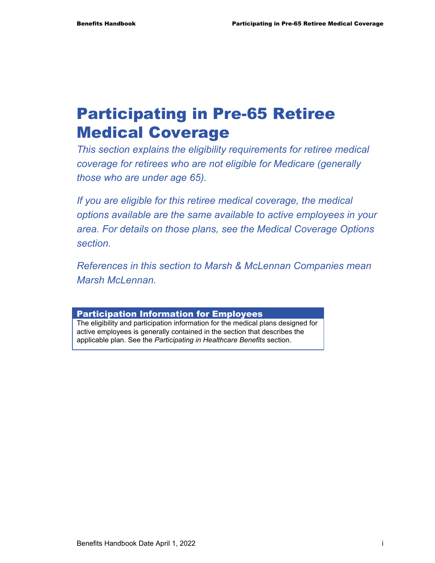# Participating in Pre-65 Retiree Medical Coverage

*This section explains the eligibility requirements for retiree medical coverage for retirees who are not eligible for Medicare (generally those who are under age 65).* 

*If you are eligible for this retiree medical coverage, the medical options available are the same available to active employees in your area. For details on those plans, see the Medical Coverage Options section.* 

*References in this section to Marsh & McLennan Companies mean Marsh McLennan.* 

#### Participation Information for Employees

The eligibility and participation information for the medical plans designed for active employees is generally contained in the section that describes the applicable plan. See the *Participating in Healthcare Benefits* section.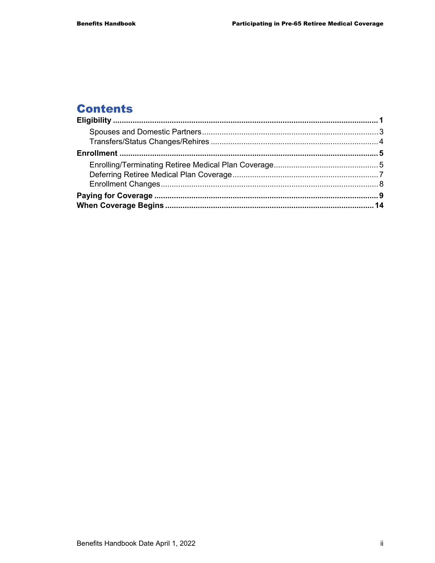# **Contents**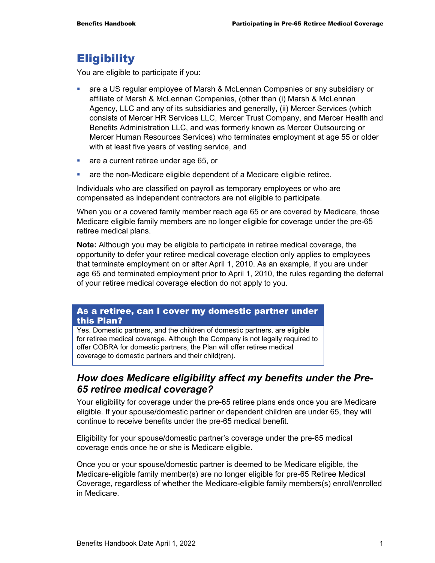# **Eligibility**

You are eligible to participate if you:

- are a US regular employee of Marsh & McLennan Companies or any subsidiary or affiliate of Marsh & McLennan Companies, (other than (i) Marsh & McLennan Agency, LLC and any of its subsidiaries and generally, (ii) Mercer Services (which consists of Mercer HR Services LLC, Mercer Trust Company, and Mercer Health and Benefits Administration LLC, and was formerly known as Mercer Outsourcing or Mercer Human Resources Services) who terminates employment at age 55 or older with at least five years of vesting service, and
- **are a current retiree under age 65, or**
- are the non-Medicare eligible dependent of a Medicare eligible retiree.

Individuals who are classified on payroll as temporary employees or who are compensated as independent contractors are not eligible to participate.

When you or a covered family member reach age 65 or are covered by Medicare, those Medicare eligible family members are no longer eligible for coverage under the pre-65 retiree medical plans.

**Note:** Although you may be eligible to participate in retiree medical coverage, the opportunity to defer your retiree medical coverage election only applies to employees that terminate employment on or after April 1, 2010. As an example, if you are under age 65 and terminated employment prior to April 1, 2010, the rules regarding the deferral of your retiree medical coverage election do not apply to you.

#### As a retiree, can I cover my domestic partner under this Plan?

Yes. Domestic partners, and the children of domestic partners, are eligible for retiree medical coverage. Although the Company is not legally required to offer COBRA for domestic partners, the Plan will offer retiree medical coverage to domestic partners and their child(ren).

# *How does Medicare eligibility affect my benefits under the Pre-65 retiree medical coverage?*

Your eligibility for coverage under the pre-65 retiree plans ends once you are Medicare eligible. If your spouse/domestic partner or dependent children are under 65, they will continue to receive benefits under the pre-65 medical benefit.

Eligibility for your spouse/domestic partner's coverage under the pre-65 medical coverage ends once he or she is Medicare eligible.

Once you or your spouse/domestic partner is deemed to be Medicare eligible, the Medicare-eligible family member(s) are no longer eligible for pre-65 Retiree Medical Coverage, regardless of whether the Medicare-eligible family members(s) enroll/enrolled in Medicare.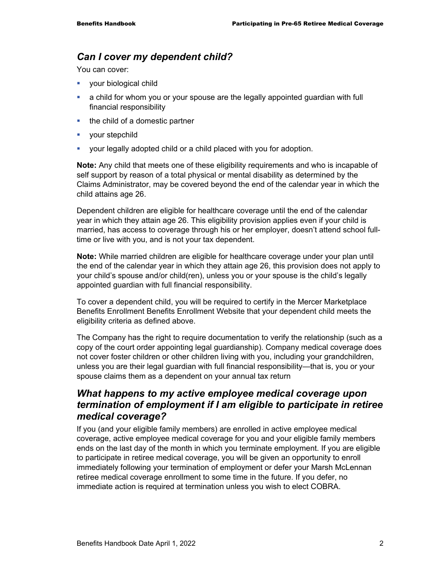#### *Can I cover my dependent child?*

You can cover:

- **vour biological child**
- a child for whom you or your spouse are the legally appointed guardian with full financial responsibility
- the child of a domestic partner
- vour stepchild
- your legally adopted child or a child placed with you for adoption.

**Note:** Any child that meets one of these eligibility requirements and who is incapable of self support by reason of a total physical or mental disability as determined by the Claims Administrator, may be covered beyond the end of the calendar year in which the child attains age 26.

Dependent children are eligible for healthcare coverage until the end of the calendar year in which they attain age 26. This eligibility provision applies even if your child is married, has access to coverage through his or her employer, doesn't attend school fulltime or live with you, and is not your tax dependent.

**Note:** While married children are eligible for healthcare coverage under your plan until the end of the calendar year in which they attain age 26, this provision does not apply to your child's spouse and/or child(ren), unless you or your spouse is the child's legally appointed guardian with full financial responsibility.

To cover a dependent child, you will be required to certify in the Mercer Marketplace Benefits Enrollment Benefits Enrollment Website that your dependent child meets the eligibility criteria as defined above.

The Company has the right to require documentation to verify the relationship (such as a copy of the court order appointing legal guardianship). Company medical coverage does not cover foster children or other children living with you, including your grandchildren, unless you are their legal guardian with full financial responsibility—that is, you or your spouse claims them as a dependent on your annual tax return

#### *What happens to my active employee medical coverage upon termination of employment if I am eligible to participate in retiree medical coverage?*

If you (and your eligible family members) are enrolled in active employee medical coverage, active employee medical coverage for you and your eligible family members ends on the last day of the month in which you terminate employment. If you are eligible to participate in retiree medical coverage, you will be given an opportunity to enroll immediately following your termination of employment or defer your Marsh McLennan retiree medical coverage enrollment to some time in the future. If you defer, no immediate action is required at termination unless you wish to elect COBRA.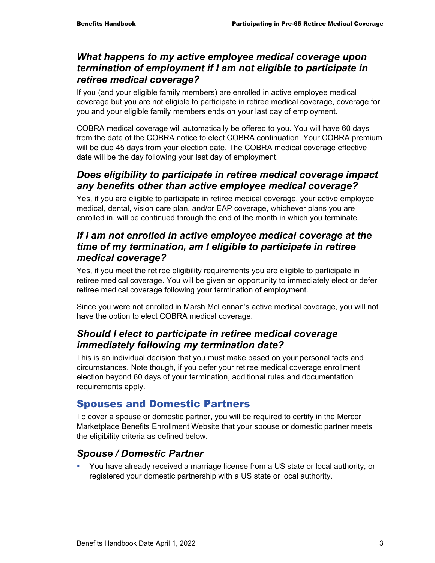#### *What happens to my active employee medical coverage upon termination of employment if I am not eligible to participate in retiree medical coverage?*

If you (and your eligible family members) are enrolled in active employee medical coverage but you are not eligible to participate in retiree medical coverage, coverage for you and your eligible family members ends on your last day of employment.

COBRA medical coverage will automatically be offered to you. You will have 60 days from the date of the COBRA notice to elect COBRA continuation. Your COBRA premium will be due 45 days from your election date. The COBRA medical coverage effective date will be the day following your last day of employment.

# *Does eligibility to participate in retiree medical coverage impact any benefits other than active employee medical coverage?*

Yes, if you are eligible to participate in retiree medical coverage, your active employee medical, dental, vision care plan, and/or EAP coverage, whichever plans you are enrolled in, will be continued through the end of the month in which you terminate.

#### *If I am not enrolled in active employee medical coverage at the time of my termination, am I eligible to participate in retiree medical coverage?*

Yes, if you meet the retiree eligibility requirements you are eligible to participate in retiree medical coverage. You will be given an opportunity to immediately elect or defer retiree medical coverage following your termination of employment.

Since you were not enrolled in Marsh McLennan's active medical coverage, you will not have the option to elect COBRA medical coverage.

# *Should I elect to participate in retiree medical coverage immediately following my termination date?*

This is an individual decision that you must make based on your personal facts and circumstances. Note though, if you defer your retiree medical coverage enrollment election beyond 60 days of your termination, additional rules and documentation requirements apply.

# Spouses and Domestic Partners

To cover a spouse or domestic partner, you will be required to certify in the Mercer Marketplace Benefits Enrollment Website that your spouse or domestic partner meets the eligibility criteria as defined below.

# *Spouse / Domestic Partner*

 You have already received a marriage license from a US state or local authority, or registered your domestic partnership with a US state or local authority.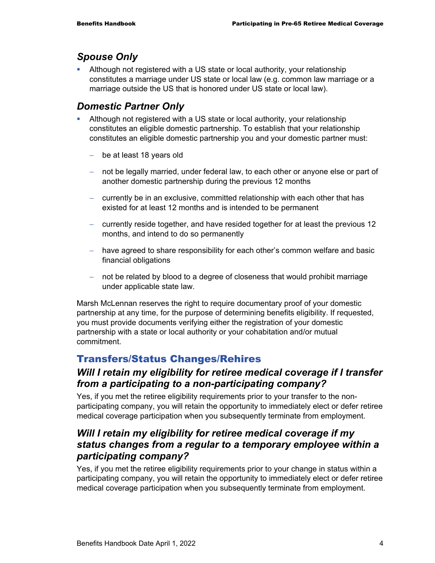#### *Spouse Only*

 Although not registered with a US state or local authority, your relationship constitutes a marriage under US state or local law (e.g. common law marriage or a marriage outside the US that is honored under US state or local law).

#### *Domestic Partner Only*

- Although not registered with a US state or local authority, your relationship constitutes an eligible domestic partnership. To establish that your relationship constitutes an eligible domestic partnership you and your domestic partner must:
	- − be at least 18 years old
	- − not be legally married, under federal law, to each other or anyone else or part of another domestic partnership during the previous 12 months
	- − currently be in an exclusive, committed relationship with each other that has existed for at least 12 months and is intended to be permanent
	- − currently reside together, and have resided together for at least the previous 12 months, and intend to do so permanently
	- − have agreed to share responsibility for each other's common welfare and basic financial obligations
	- − not be related by blood to a degree of closeness that would prohibit marriage under applicable state law.

Marsh McLennan reserves the right to require documentary proof of your domestic partnership at any time, for the purpose of determining benefits eligibility. If requested, you must provide documents verifying either the registration of your domestic partnership with a state or local authority or your cohabitation and/or mutual commitment.

# Transfers/Status Changes/Rehires

# *Will I retain my eligibility for retiree medical coverage if I transfer from a participating to a non-participating company?*

Yes, if you met the retiree eligibility requirements prior to your transfer to the nonparticipating company, you will retain the opportunity to immediately elect or defer retiree medical coverage participation when you subsequently terminate from employment.

# *Will I retain my eligibility for retiree medical coverage if my status changes from a regular to a temporary employee within a participating company?*

Yes, if you met the retiree eligibility requirements prior to your change in status within a participating company, you will retain the opportunity to immediately elect or defer retiree medical coverage participation when you subsequently terminate from employment.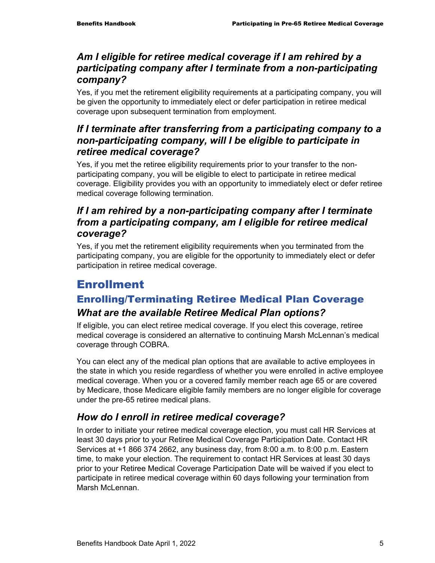# *Am I eligible for retiree medical coverage if I am rehired by a participating company after I terminate from a non-participating company?*

Yes, if you met the retirement eligibility requirements at a participating company, you will be given the opportunity to immediately elect or defer participation in retiree medical coverage upon subsequent termination from employment.

# *If I terminate after transferring from a participating company to a non-participating company, will I be eligible to participate in retiree medical coverage?*

Yes, if you met the retiree eligibility requirements prior to your transfer to the nonparticipating company, you will be eligible to elect to participate in retiree medical coverage. Eligibility provides you with an opportunity to immediately elect or defer retiree medical coverage following termination.

# *If I am rehired by a non-participating company after I terminate from a participating company, am I eligible for retiree medical coverage?*

Yes, if you met the retirement eligibility requirements when you terminated from the participating company, you are eligible for the opportunity to immediately elect or defer participation in retiree medical coverage.

# Enrollment

# Enrolling/Terminating Retiree Medical Plan Coverage *What are the available Retiree Medical Plan options?*

If eligible, you can elect retiree medical coverage. If you elect this coverage, retiree medical coverage is considered an alternative to continuing Marsh McLennan's medical coverage through COBRA.

You can elect any of the medical plan options that are available to active employees in the state in which you reside regardless of whether you were enrolled in active employee medical coverage. When you or a covered family member reach age 65 or are covered by Medicare, those Medicare eligible family members are no longer eligible for coverage under the pre-65 retiree medical plans.

# *How do I enroll in retiree medical coverage?*

In order to initiate your retiree medical coverage election, you must call HR Services at least 30 days prior to your Retiree Medical Coverage Participation Date. Contact HR Services at +1 866 374 2662, any business day, from 8:00 a.m. to 8:00 p.m. Eastern time, to make your election. The requirement to contact HR Services at least 30 days prior to your Retiree Medical Coverage Participation Date will be waived if you elect to participate in retiree medical coverage within 60 days following your termination from Marsh McLennan.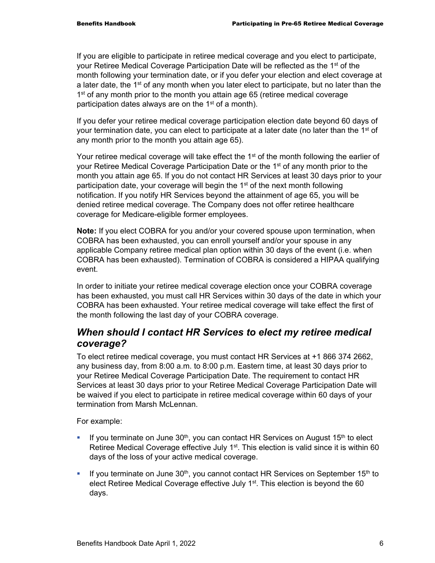If you are eligible to participate in retiree medical coverage and you elect to participate, your Retiree Medical Coverage Participation Date will be reflected as the 1st of the month following your termination date, or if you defer your election and elect coverage at a later date, the  $1<sup>st</sup>$  of any month when you later elect to participate, but no later than the 1<sup>st</sup> of any month prior to the month you attain age 65 (retiree medical coverage participation dates always are on the 1<sup>st</sup> of a month).

If you defer your retiree medical coverage participation election date beyond 60 days of your termination date, you can elect to participate at a later date (no later than the  $1<sup>st</sup>$  of any month prior to the month you attain age 65).

Your retiree medical coverage will take effect the 1<sup>st</sup> of the month following the earlier of your Retiree Medical Coverage Participation Date or the 1<sup>st</sup> of any month prior to the month you attain age 65. If you do not contact HR Services at least 30 days prior to your participation date, your coverage will begin the 1<sup>st</sup> of the next month following notification. If you notify HR Services beyond the attainment of age 65, you will be denied retiree medical coverage. The Company does not offer retiree healthcare coverage for Medicare-eligible former employees.

**Note:** If you elect COBRA for you and/or your covered spouse upon termination, when COBRA has been exhausted, you can enroll yourself and/or your spouse in any applicable Company retiree medical plan option within 30 days of the event (i.e. when COBRA has been exhausted). Termination of COBRA is considered a HIPAA qualifying event.

In order to initiate your retiree medical coverage election once your COBRA coverage has been exhausted, you must call HR Services within 30 days of the date in which your COBRA has been exhausted. Your retiree medical coverage will take effect the first of the month following the last day of your COBRA coverage.

#### *When should I contact HR Services to elect my retiree medical coverage?*

To elect retiree medical coverage, you must contact HR Services at +1 866 374 2662, any business day, from 8:00 a.m. to 8:00 p.m. Eastern time, at least 30 days prior to your Retiree Medical Coverage Participation Date. The requirement to contact HR Services at least 30 days prior to your Retiree Medical Coverage Participation Date will be waived if you elect to participate in retiree medical coverage within 60 days of your termination from Marsh McLennan.

For example:

- If you terminate on June  $30<sup>th</sup>$ , you can contact HR Services on August 15<sup>th</sup> to elect Retiree Medical Coverage effective July 1<sup>st</sup>. This election is valid since it is within 60 days of the loss of your active medical coverage.
- If you terminate on June  $30<sup>th</sup>$ , you cannot contact HR Services on September 15<sup>th</sup> to elect Retiree Medical Coverage effective July 1<sup>st</sup>. This election is beyond the 60 days.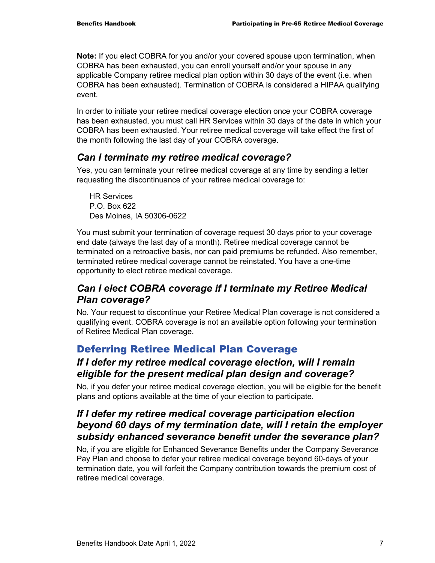**Note:** If you elect COBRA for you and/or your covered spouse upon termination, when COBRA has been exhausted, you can enroll yourself and/or your spouse in any applicable Company retiree medical plan option within 30 days of the event (i.e. when COBRA has been exhausted). Termination of COBRA is considered a HIPAA qualifying event.

In order to initiate your retiree medical coverage election once your COBRA coverage has been exhausted, you must call HR Services within 30 days of the date in which your COBRA has been exhausted. Your retiree medical coverage will take effect the first of the month following the last day of your COBRA coverage.

# *Can I terminate my retiree medical coverage?*

Yes, you can terminate your retiree medical coverage at any time by sending a letter requesting the discontinuance of your retiree medical coverage to:

HR Services P.O. Box 622 Des Moines, IA 50306-0622

You must submit your termination of coverage request 30 days prior to your coverage end date (always the last day of a month). Retiree medical coverage cannot be terminated on a retroactive basis, nor can paid premiums be refunded. Also remember, terminated retiree medical coverage cannot be reinstated. You have a one-time opportunity to elect retiree medical coverage.

# *Can I elect COBRA coverage if I terminate my Retiree Medical Plan coverage?*

No. Your request to discontinue your Retiree Medical Plan coverage is not considered a qualifying event. COBRA coverage is not an available option following your termination of Retiree Medical Plan coverage.

# Deferring Retiree Medical Plan Coverage

# *If I defer my retiree medical coverage election, will I remain eligible for the present medical plan design and coverage?*

No, if you defer your retiree medical coverage election, you will be eligible for the benefit plans and options available at the time of your election to participate.

# *If I defer my retiree medical coverage participation election beyond 60 days of my termination date, will I retain the employer subsidy enhanced severance benefit under the severance plan?*

No, if you are eligible for Enhanced Severance Benefits under the Company Severance Pay Plan and choose to defer your retiree medical coverage beyond 60-days of your termination date, you will forfeit the Company contribution towards the premium cost of retiree medical coverage.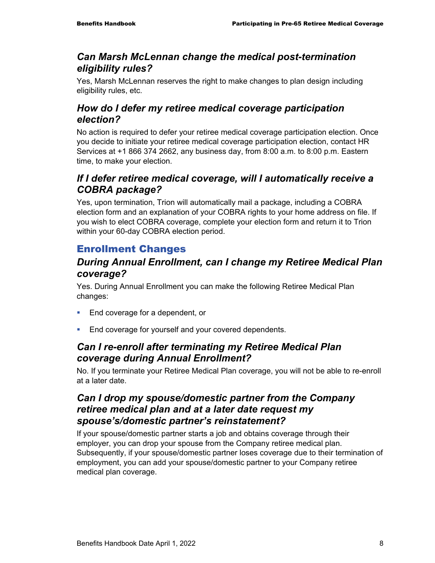#### *Can Marsh McLennan change the medical post-termination eligibility rules?*

Yes, Marsh McLennan reserves the right to make changes to plan design including eligibility rules, etc.

# *How do I defer my retiree medical coverage participation election?*

No action is required to defer your retiree medical coverage participation election. Once you decide to initiate your retiree medical coverage participation election, contact HR Services at +1 866 374 2662, any business day, from 8:00 a.m. to 8:00 p.m. Eastern time, to make your election.

# *If I defer retiree medical coverage, will I automatically receive a COBRA package?*

Yes, upon termination, Trion will automatically mail a package, including a COBRA election form and an explanation of your COBRA rights to your home address on file. If you wish to elect COBRA coverage, complete your election form and return it to Trion within your 60-day COBRA election period.

# Enrollment Changes

# *During Annual Enrollment, can I change my Retiree Medical Plan coverage?*

Yes. During Annual Enrollment you can make the following Retiree Medical Plan changes:

- **End coverage for a dependent, or**
- **End coverage for yourself and your covered dependents.**

# *Can I re-enroll after terminating my Retiree Medical Plan coverage during Annual Enrollment?*

No. If you terminate your Retiree Medical Plan coverage, you will not be able to re-enroll at a later date.

# *Can I drop my spouse/domestic partner from the Company retiree medical plan and at a later date request my spouse's/domestic partner's reinstatement?*

If your spouse/domestic partner starts a job and obtains coverage through their employer, you can drop your spouse from the Company retiree medical plan. Subsequently, if your spouse/domestic partner loses coverage due to their termination of employment, you can add your spouse/domestic partner to your Company retiree medical plan coverage.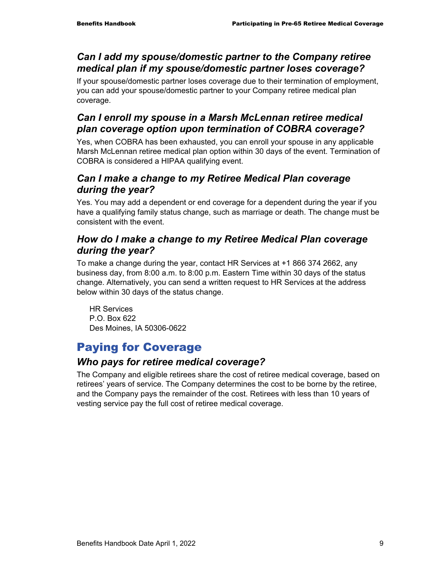# *Can I add my spouse/domestic partner to the Company retiree medical plan if my spouse/domestic partner loses coverage?*

If your spouse/domestic partner loses coverage due to their termination of employment, you can add your spouse/domestic partner to your Company retiree medical plan coverage.

# *Can I enroll my spouse in a Marsh McLennan retiree medical plan coverage option upon termination of COBRA coverage?*

Yes, when COBRA has been exhausted, you can enroll your spouse in any applicable Marsh McLennan retiree medical plan option within 30 days of the event. Termination of COBRA is considered a HIPAA qualifying event.

# *Can I make a change to my Retiree Medical Plan coverage during the year?*

Yes. You may add a dependent or end coverage for a dependent during the year if you have a qualifying family status change, such as marriage or death. The change must be consistent with the event.

#### *How do I make a change to my Retiree Medical Plan coverage during the year?*

To make a change during the year, contact HR Services at +1 866 374 2662, any business day, from 8:00 a.m. to 8:00 p.m. Eastern Time within 30 days of the status change. Alternatively, you can send a written request to HR Services at the address below within 30 days of the status change.

HR Services P.O. Box 622 Des Moines, IA 50306-0622

# Paying for Coverage

# *Who pays for retiree medical coverage?*

The Company and eligible retirees share the cost of retiree medical coverage, based on retirees' years of service. The Company determines the cost to be borne by the retiree, and the Company pays the remainder of the cost. Retirees with less than 10 years of vesting service pay the full cost of retiree medical coverage.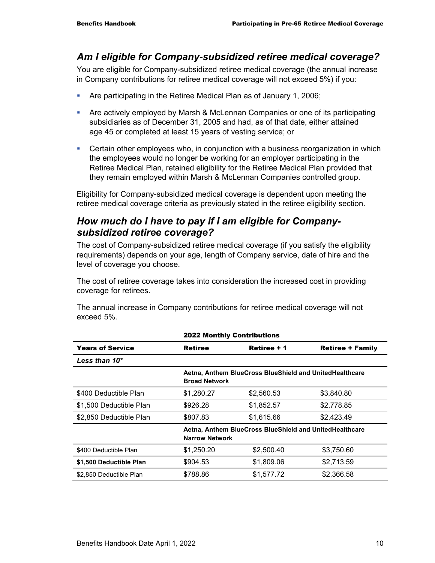#### *Am I eligible for Company-subsidized retiree medical coverage?*

You are eligible for Company-subsidized retiree medical coverage (the annual increase in Company contributions for retiree medical coverage will not exceed 5%) if you:

- Are participating in the Retiree Medical Plan as of January 1, 2006;
- Are actively employed by Marsh & McLennan Companies or one of its participating subsidiaries as of December 31, 2005 and had, as of that date, either attained age 45 or completed at least 15 years of vesting service; or
- Certain other employees who, in conjunction with a business reorganization in which the employees would no longer be working for an employer participating in the Retiree Medical Plan, retained eligibility for the Retiree Medical Plan provided that they remain employed within Marsh & McLennan Companies controlled group.

Eligibility for Company-subsidized medical coverage is dependent upon meeting the retiree medical coverage criteria as previously stated in the retiree eligibility section.

#### *How much do I have to pay if I am eligible for Companysubsidized retiree coverage?*

The cost of Company-subsidized retiree medical coverage (if you satisfy the eligibility requirements) depends on your age, length of Company service, date of hire and the level of coverage you choose.

The cost of retiree coverage takes into consideration the increased cost in providing coverage for retirees.

The annual increase in Company contributions for retiree medical coverage will not exceed 5%.

|                         | <b>2022 Monthly Contributions</b> |                                                                                  |                         |  |
|-------------------------|-----------------------------------|----------------------------------------------------------------------------------|-------------------------|--|
| <b>Years of Service</b> | <b>Retiree</b>                    | Retiree + 1                                                                      | <b>Retiree + Family</b> |  |
| Less than $10^*$        |                                   |                                                                                  |                         |  |
|                         | <b>Broad Network</b>              | Aetna, Anthem BlueCross BlueShield and UnitedHealthcare                          |                         |  |
| \$400 Deductible Plan   | \$1,280.27                        | \$2,560.53                                                                       | \$3,840.80              |  |
| \$1,500 Deductible Plan | \$926.28                          | \$1,852.57                                                                       | \$2,778.85              |  |
| \$2,850 Deductible Plan | \$807.83                          | \$1,615.66                                                                       | \$2,423.49              |  |
|                         |                                   | Aetna, Anthem BlueCross BlueShield and UnitedHealthcare<br><b>Narrow Network</b> |                         |  |
| \$400 Deductible Plan   | \$1,250.20                        | \$2,500.40                                                                       | \$3,750.60              |  |
| \$1,500 Deductible Plan | \$904.53                          | \$1,809.06                                                                       | \$2,713.59              |  |
| \$2,850 Deductible Plan | \$788.86                          | \$1,577.72                                                                       | \$2,366.58              |  |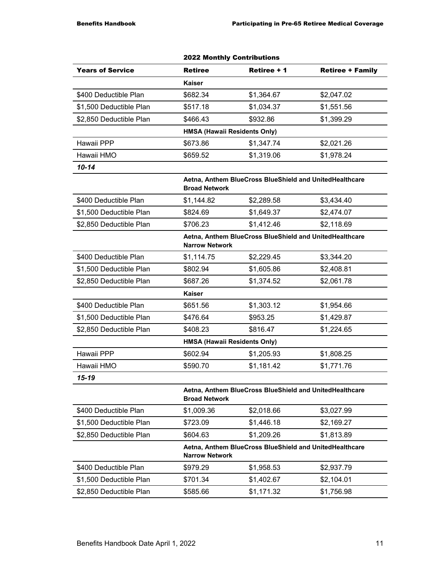|                         |                                     | ZUZZ MONTNIY CONTRIDUTIONS                              |                         |
|-------------------------|-------------------------------------|---------------------------------------------------------|-------------------------|
| <b>Years of Service</b> | <b>Retiree</b>                      | Retiree + 1                                             | <b>Retiree + Family</b> |
|                         | <b>Kaiser</b>                       |                                                         |                         |
| \$400 Deductible Plan   | \$682.34                            | \$1,364.67                                              | \$2,047.02              |
| \$1,500 Deductible Plan | \$517.18                            | \$1,034.37                                              | \$1,551.56              |
| \$2,850 Deductible Plan | \$466.43                            | \$932.86                                                | \$1,399.29              |
|                         | <b>HMSA (Hawaii Residents Only)</b> |                                                         |                         |
| Hawaii PPP              | \$673.86                            | \$1,347.74                                              | \$2,021.26              |
| Hawaii HMO              | \$659.52                            | \$1,319.06                                              | \$1,978.24              |
| $10 - 14$               |                                     |                                                         |                         |
|                         | <b>Broad Network</b>                | Aetna, Anthem BlueCross BlueShield and UnitedHealthcare |                         |
| \$400 Deductible Plan   | \$1,144.82                          | \$2,289.58                                              | \$3,434.40              |
| \$1,500 Deductible Plan | \$824.69                            | \$1,649.37                                              | \$2,474.07              |
| \$2,850 Deductible Plan | \$706.23                            | \$1,412.46                                              | \$2,118.69              |
|                         | <b>Narrow Network</b>               | Aetna, Anthem BlueCross BlueShield and UnitedHealthcare |                         |
| \$400 Deductible Plan   | \$1,114.75                          | \$2,229.45                                              | \$3,344.20              |
| \$1,500 Deductible Plan | \$802.94                            | \$1,605.86                                              | \$2,408.81              |
| \$2,850 Deductible Plan | \$687.26                            | \$1,374.52                                              | \$2,061.78              |
|                         | <b>Kaiser</b>                       |                                                         |                         |
| \$400 Deductible Plan   | \$651.56                            | \$1,303.12                                              | \$1,954.66              |
| \$1,500 Deductible Plan | \$476.64                            | \$953.25                                                | \$1,429.87              |
| \$2,850 Deductible Plan | \$408.23                            | \$816.47                                                | \$1,224.65              |
|                         | <b>HMSA (Hawaii Residents Only)</b> |                                                         |                         |
| Hawaii PPP              | \$602.94                            | \$1,205.93                                              | \$1,808.25              |
| Hawaii HMO              | \$590.70                            | \$1,181.42                                              | \$1,771.76              |
| 15-19                   |                                     |                                                         |                         |
|                         | <b>Broad Network</b>                | Aetna, Anthem BlueCross BlueShield and UnitedHealthcare |                         |
| \$400 Deductible Plan   | \$1,009.36                          | \$2,018.66                                              | \$3,027.99              |
| \$1,500 Deductible Plan | \$723.09                            | \$1,446.18                                              | \$2,169.27              |
| \$2,850 Deductible Plan | \$604.63                            | \$1,209.26                                              | \$1,813.89              |
|                         | <b>Narrow Network</b>               | Aetna, Anthem BlueCross BlueShield and UnitedHealthcare |                         |
| \$400 Deductible Plan   | \$979.29                            | \$1,958.53                                              | \$2,937.79              |
| \$1,500 Deductible Plan | \$701.34                            | \$1,402.67                                              | \$2,104.01              |
| \$2,850 Deductible Plan | \$585.66                            | \$1,171.32                                              | \$1,756.98              |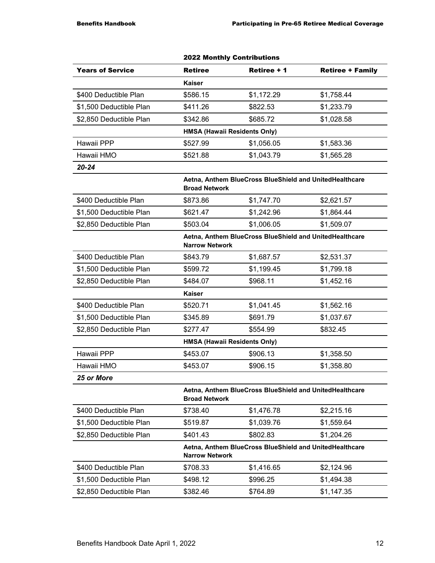|                         |                | <b>2022 Monthly Contributions</b>                                                |                         |  |  |
|-------------------------|----------------|----------------------------------------------------------------------------------|-------------------------|--|--|
| <b>Years of Service</b> | <b>Retiree</b> | Retiree + 1                                                                      | <b>Retiree + Family</b> |  |  |
|                         | Kaiser         |                                                                                  |                         |  |  |
| \$400 Deductible Plan   | \$586.15       | \$1,172.29                                                                       | \$1,758.44              |  |  |
| \$1,500 Deductible Plan | \$411.26       | \$822.53                                                                         | \$1,233.79              |  |  |
| \$2,850 Deductible Plan | \$342.86       | \$685.72                                                                         | \$1,028.58              |  |  |
|                         |                | HMSA (Hawaii Residents Only)                                                     |                         |  |  |
| Hawaii PPP              | \$527.99       | \$1,056.05                                                                       | \$1,583.36              |  |  |
| Hawaii HMO              | \$521.88       | \$1,043.79                                                                       | \$1,565.28              |  |  |
| $20 - 24$               |                |                                                                                  |                         |  |  |
|                         |                | Aetna, Anthem BlueCross BlueShield and UnitedHealthcare<br><b>Broad Network</b>  |                         |  |  |
| \$400 Deductible Plan   | \$873.86       | \$1,747.70                                                                       | \$2,621.57              |  |  |
| \$1,500 Deductible Plan | \$621.47       | \$1,242.96                                                                       | \$1,864.44              |  |  |
| \$2,850 Deductible Plan | \$503.04       | \$1,006.05                                                                       | \$1,509.07              |  |  |
|                         |                | Aetna, Anthem BlueCross BlueShield and UnitedHealthcare<br><b>Narrow Network</b> |                         |  |  |
| \$400 Deductible Plan   | \$843.79       | \$1,687.57                                                                       | \$2,531.37              |  |  |
| \$1,500 Deductible Plan | \$599.72       | \$1,199.45                                                                       | \$1,799.18              |  |  |
| \$2,850 Deductible Plan | \$484.07       | \$968.11                                                                         | \$1,452.16              |  |  |
|                         | <b>Kaiser</b>  |                                                                                  |                         |  |  |
| \$400 Deductible Plan   | \$520.71       | \$1,041.45                                                                       | \$1,562.16              |  |  |
| \$1,500 Deductible Plan | \$345.89       | \$691.79                                                                         | \$1,037.67              |  |  |
| \$2,850 Deductible Plan | \$277.47       | \$554.99                                                                         | \$832.45                |  |  |
|                         |                | HMSA (Hawaii Residents Only)                                                     |                         |  |  |
| Hawaii PPP              | \$453.07       | \$906.13                                                                         | \$1,358.50              |  |  |
| Hawaii HMO              | \$453.07       | \$906.15                                                                         | \$1,358.80              |  |  |
| 25 or More              |                |                                                                                  |                         |  |  |
|                         |                | Aetna, Anthem BlueCross BlueShield and UnitedHealthcare<br><b>Broad Network</b>  |                         |  |  |
| \$400 Deductible Plan   | \$738.40       | \$1,476.78                                                                       | \$2,215.16              |  |  |
| \$1,500 Deductible Plan | \$519.87       | \$1,039.76                                                                       | \$1,559.64              |  |  |
| \$2,850 Deductible Plan | \$401.43       | \$802.83                                                                         | \$1,204.26              |  |  |
|                         |                | Aetna, Anthem BlueCross BlueShield and UnitedHealthcare<br><b>Narrow Network</b> |                         |  |  |
| \$400 Deductible Plan   | \$708.33       | \$1,416.65                                                                       | \$2,124.96              |  |  |
| \$1,500 Deductible Plan | \$498.12       | \$996.25                                                                         | \$1,494.38              |  |  |
| \$2,850 Deductible Plan | \$382.46       | \$764.89                                                                         | \$1,147.35              |  |  |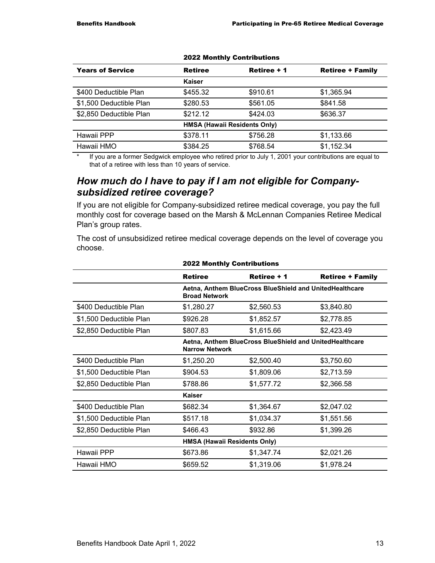| <b>Years of Service</b> | <b>Retiree</b>                      | Retiree + 1 | <b>Retiree + Family</b> |
|-------------------------|-------------------------------------|-------------|-------------------------|
|                         | Kaiser                              |             |                         |
| \$400 Deductible Plan   | \$455.32                            | \$910.61    | \$1,365.94              |
| \$1,500 Deductible Plan | \$280.53                            | \$561.05    | \$841.58                |
| \$2,850 Deductible Plan | \$212.12                            | \$424.03    | \$636.37                |
|                         | <b>HMSA (Hawaii Residents Only)</b> |             |                         |
| Hawaii PPP              | \$378.11                            | \$756.28    | \$1,133.66              |
| Hawaii HMO              | \$384.25                            | \$768.54    | \$1,152.34              |

#### 2022 Monthly Contributions

If you are a former Sedgwick employee who retired prior to July 1, 2001 your contributions are equal to that of a retiree with less than 10 years of service.

#### *How much do I have to pay if I am not eligible for Companysubsidized retiree coverage?*

If you are not eligible for Company-subsidized retiree medical coverage, you pay the full monthly cost for coverage based on the Marsh & McLennan Companies Retiree Medical Plan's group rates.

The cost of unsubsidized retiree medical coverage depends on the level of coverage you choose.

|                         | <b>2022 Monthly Contributions</b>                                                |             |                         |  |
|-------------------------|----------------------------------------------------------------------------------|-------------|-------------------------|--|
|                         | <b>Retiree</b>                                                                   | Retiree + 1 | <b>Retiree + Family</b> |  |
|                         | Aetna, Anthem BlueCross BlueShield and UnitedHealthcare<br><b>Broad Network</b>  |             |                         |  |
| \$400 Deductible Plan   | \$1,280.27                                                                       | \$2,560.53  | \$3,840.80              |  |
| \$1,500 Deductible Plan | \$926.28                                                                         | \$1,852.57  | \$2,778.85              |  |
| \$2,850 Deductible Plan | \$807.83                                                                         | \$1,615.66  | \$2,423.49              |  |
|                         | Aetna, Anthem BlueCross BlueShield and UnitedHealthcare<br><b>Narrow Network</b> |             |                         |  |
| \$400 Deductible Plan   | \$1,250.20                                                                       | \$2,500.40  | \$3,750.60              |  |
| \$1,500 Deductible Plan | \$904.53                                                                         | \$1,809.06  | \$2,713.59              |  |
| \$2,850 Deductible Plan | \$788.86                                                                         | \$1,577.72  | \$2,366.58              |  |
|                         | Kaiser                                                                           |             |                         |  |
| \$400 Deductible Plan   | \$682.34                                                                         | \$1,364.67  | \$2,047.02              |  |
| \$1,500 Deductible Plan | \$517.18                                                                         | \$1,034.37  | \$1,551.56              |  |
| \$2,850 Deductible Plan | \$466.43                                                                         | \$932.86    | \$1,399.26              |  |
|                         | <b>HMSA (Hawaii Residents Only)</b>                                              |             |                         |  |
| Hawaii PPP              | \$673.86                                                                         | \$1,347.74  | \$2,021.26              |  |
| Hawaii HMO              | \$659.52                                                                         | \$1,319.06  | \$1,978.24              |  |